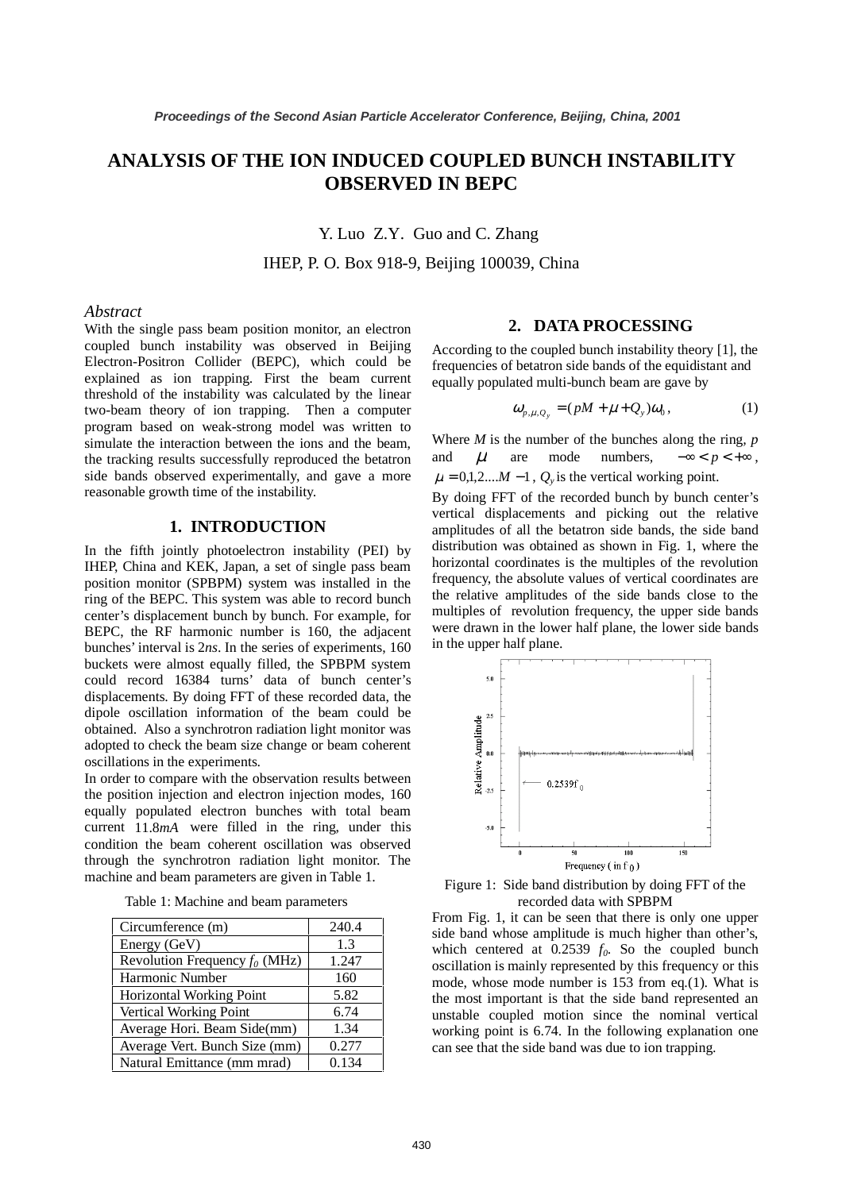# **ANALYSIS OF THE ION INDUCED COUPLED BUNCH INSTABILITY OBSERVED IN BEPC**

Y. Luo Z.Y. Guo and C. Zhang

IHEP, P. O. Box 918-9, Beijing 100039, China

#### *Abstract*

With the single pass beam position monitor, an electron coupled bunch instability was observed in Beijing Electron-Positron Collider (BEPC), which could be explained as ion trapping. First the beam current threshold of the instability was calculated by the linear two-beam theory of ion trapping. Then a computer program based on weak-strong model was written to simulate the interaction between the ions and the beam, the tracking results successfully reproduced the betatron side bands observed experimentally, and gave a more reasonable growth time of the instability.

#### **1. INTRODUCTION**

In the fifth jointly photoelectron instability (PEI) by IHEP, China and KEK, Japan, a set of single pass beam position monitor (SPBPM) system was installed in the ring of the BEPC. This system was able to record bunch center's displacement bunch by bunch. For example, for BEPC, the RF harmonic number is 160, the adjacent bunches' interval is 2*ns*. In the series of experiments, 160 buckets were almost equally filled, the SPBPM system could record 16384 turns' data of bunch center's displacements. By doing FFT of these recorded data, the dipole oscillation information of the beam could be obtained. Also a synchrotron radiation light monitor was adopted to check the beam size change or beam coherent oscillations in the experiments.

In order to compare with the observation results between the position injection and electron injection modes, 160 equally populated electron bunches with total beam current 11.8*mA* were filled in the ring, under this condition the beam coherent oscillation was observed through the synchrotron radiation light monitor. The machine and beam parameters are given in Table 1.

| Circumference (m)                | 240.4 |
|----------------------------------|-------|
| Energy (GeV)                     | 1.3   |
| Revolution Frequency $f_0$ (MHz) | 1.247 |
| Harmonic Number                  | 160   |
| <b>Horizontal Working Point</b>  | 5.82  |
| <b>Vertical Working Point</b>    | 6.74  |
| Average Hori. Beam Side(mm)      | 1.34  |
| Average Vert. Bunch Size (mm)    | 0.277 |
| Natural Emittance (mm mrad)      | 0.134 |

Table 1: Machine and beam parameters

### **2. DATA PROCESSING**

According to the coupled bunch instability theory [1], the frequencies of betatron side bands of the equidistant and equally populated multi-bunch beam are gave by

$$
\omega_{p,\mu,Q_y} = (pM + \mu + Q_y)\omega_0, \qquad (1)
$$

Where *M* is the number of the bunches along the ring*, p* and  $\mu$  are mode numbers,  $-\infty < p < +\infty$ ,  $\mu = 0.1, 2, \ldots M - 1$ ,  $O_v$  is the vertical working point.

By doing FFT of the recorded bunch by bunch center's vertical displacements and picking out the relative amplitudes of all the betatron side bands, the side band distribution was obtained as shown in Fig. 1, where the horizontal coordinates is the multiples of the revolution frequency, the absolute values of vertical coordinates are the relative amplitudes of the side bands close to the multiples of revolution frequency, the upper side bands were drawn in the lower half plane, the lower side bands in the upper half plane.



Figure 1: Side band distribution by doing FFT of the recorded data with SPBPM

From Fig. 1, it can be seen that there is only one upper side band whose amplitude is much higher than other's, which centered at  $0.2539 f_0$ . So the coupled bunch oscillation is mainly represented by this frequency or this mode, whose mode number is 153 from eq.(1). What is the most important is that the side band represented an unstable coupled motion since the nominal vertical working point is 6.74. In the following explanation one can see that the side band was due to ion trapping.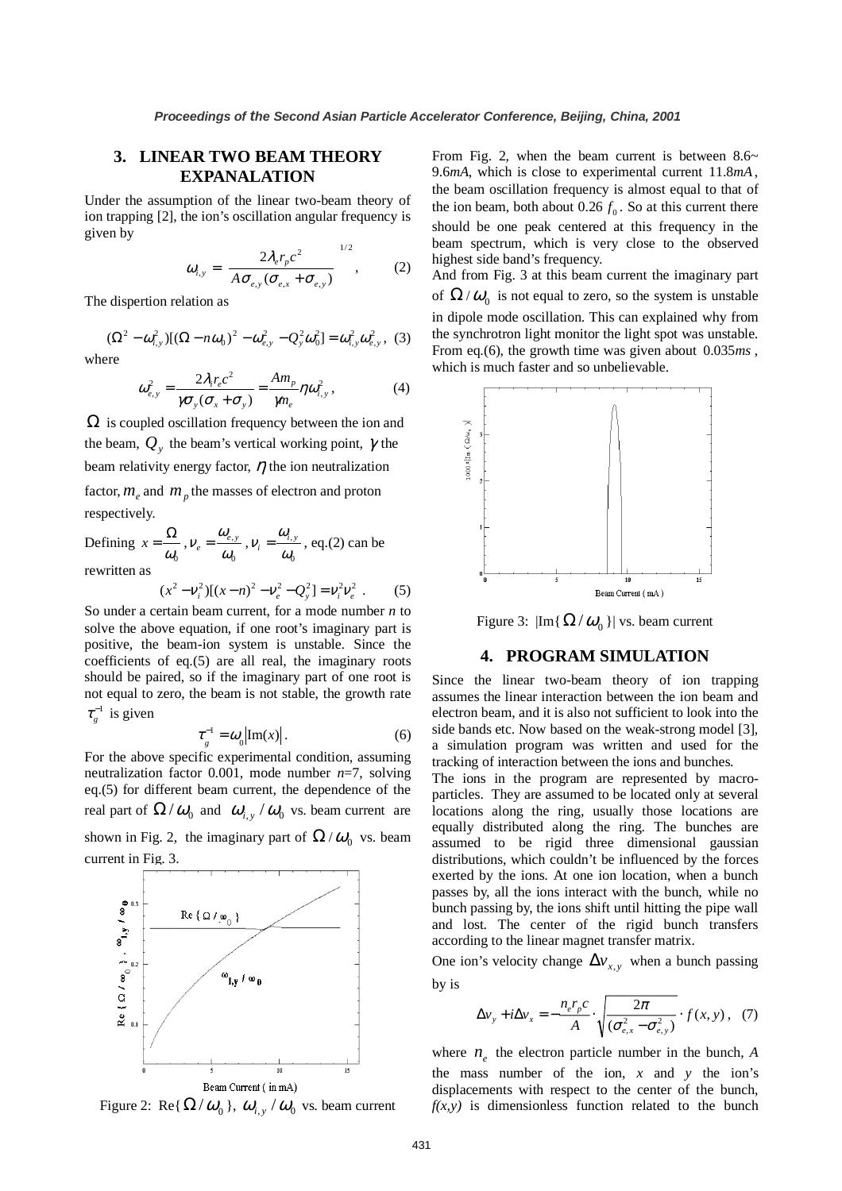## **3. LINEAR TWO BEAM THEORY EXPANALATION**

Under the assumption of the linear two-beam theory of ion trapping [2], the ion's oscillation angular frequency is given by

$$
\omega_{i,y} = \left[ \frac{2\lambda_e r_p c^2}{A \sigma_{e,y} (\sigma_{e,x} + \sigma_{e,y})} \right]^{1/2}, \quad (2)
$$

The dispertion relation as

$$
(\Omega^2 - \omega_{i,y}^2)[(\Omega - n\omega_0)^2 - \omega_{e,y}^2 - Q_y^2 \omega_0^2] = \omega_{i,y}^2 \omega_{e,y}^2, (3)
$$

where

$$
\omega_{e,y}^2 = \frac{2\lambda_i r_e c^2}{\gamma \sigma_y (\sigma_x + \sigma_y)} = \frac{Am_p}{\gamma m_e} \eta \omega_{i,y}^2, \qquad (4)
$$

 $\Omega$  is coupled oscillation frequency between the ion and the beam,  $Q_{y}$  the beam's vertical working point,  $\gamma$  the beam relativity energy factor,  $\eta$  the ion neutralization factor,  $m_e$  and  $m_p$  the masses of electron and proton respectively. ,  $v_i = \frac{\omega_{i,y}}{\omega}$ , eq.(2) can be

Defining  $\omega_{\scriptscriptstyle 0}$  $x = \frac{\Omega}{\sqrt{2}}$  $\overline{0}$ , ω  $V_e = \frac{\omega_{e,y}}{\omega_0}, V_i = \frac{\omega_{i,j}}{\omega_0}$ rewritten as

$$
(x^{2} - v_{i}^{2})[(x - n)^{2} - v_{e}^{2} - Q_{y}^{2}] = v_{i}^{2}v_{e}^{2}. \qquad (5)
$$

ω

So under a certain beam current, for a mode number *n* to solve the above equation, if one root's imaginary part is positive, the beam-ion system is unstable. Since the coefficients of eq.(5) are all real, the imaginary roots should be paired, so if the imaginary part of one root is not equal to zero, the beam is not stable, the growth rate  $\tau_g^{-1}$  is given

$$
\tau_g^{-1} = \omega_0 |\text{Im}(x)|. \tag{6}
$$

For the above specific experimental condition, assuming neutralization factor 0.001, mode number *n*=7, solving eq.(5) for different beam current, the dependence of the real part of  $\Omega/\omega_0$  and  $\omega_{i,y}/\omega_0$  vs. beam current are shown in Fig. 2, the imaginary part of  $\Omega/\omega_0$  vs. beam



Figure 2: Re{ $\Omega/\omega_0$ },  $\omega_{i,y}/\omega_0$  vs. beam current

From Fig. 2, when the beam current is between  $8.6~$ 9.6*mA*, which is close to experimental current 11.8*mA*, the beam oscillation frequency is almost equal to that of the ion beam, both about  $0.26 f_0$ . So at this current there should be one peak centered at this frequency in the beam spectrum, which is very close to the observed highest side band's frequency.

And from Fig. 3 at this beam current the imaginary part of  $\Omega/\omega_0$  is not equal to zero, so the system is unstable in dipole mode oscillation. This can explained why from the synchrotron light monitor the light spot was unstable. From eq.(6), the growth time was given about  $0.035ms$ , which is much faster and so unbelievable.



Figure 3:  $|\text{Im}\{\Omega/\omega_0\}|$  vs. beam current

## **4. PROGRAM SIMULATION**

Since the linear two-beam theory of ion trapping assumes the linear interaction between the ion beam and electron beam, and it is also not sufficient to look into the side bands etc. Now based on the weak-strong model [3], a simulation program was written and used for the tracking of interaction between the ions and bunches.

The ions in the program are represented by macroparticles. They are assumed to be located only at several locations along the ring, usually those locations are equally distributed along the ring. The bunches are assumed to be rigid three dimensional gaussian distributions, which couldn't be influenced by the forces exerted by the ions. At one ion location, when a bunch passes by, all the ions interact with the bunch, while no bunch passing by, the ions shift until hitting the pipe wall and lost. The center of the rigid bunch transfers according to the linear magnet transfer matrix.

One ion's velocity change  $\Delta v_{x,y}$  when a bunch passing by is

$$
\Delta v_y + i \Delta v_x = -\frac{n_e r_p c}{A} \cdot \sqrt{\frac{2\pi}{(\sigma_{e,x}^2 - \sigma_{e,y}^2)}} \cdot f(x, y), \quad (7)
$$

where  $n_e$  the electron particle number in the bunch, *A* the mass number of the ion,  $x$  and  $y$  the ion's displacements with respect to the center of the bunch,  $f(x, y)$  is dimensionless function related to the bunch